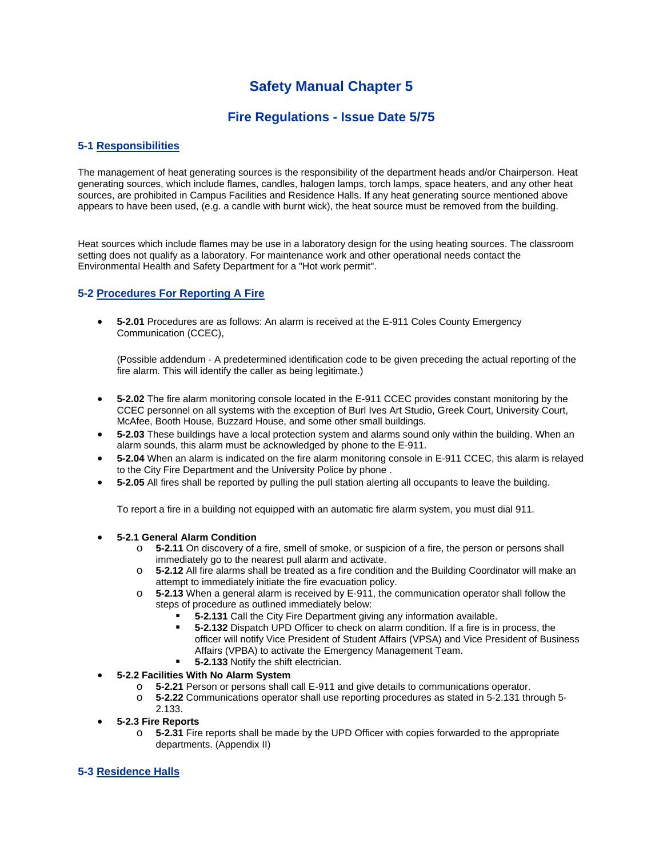# **Safety Manual Chapter 5**

# **Fire Regulations - Issue Date 5/75**

# **5-1 Responsibilities**

The management of heat generating sources is the responsibility of the department heads and/or Chairperson. Heat generating sources, which include flames, candles, halogen lamps, torch lamps, space heaters, and any other heat sources, are prohibited in Campus Facilities and Residence Halls. If any heat generating source mentioned above appears to have been used, (e.g. a candle with burnt wick), the heat source must be removed from the building.

Heat sources which include flames may be use in a laboratory design for the using heating sources. The classroom setting does not qualify as a laboratory. For maintenance work and other operational needs contact the Environmental Health and Safety Department for a "Hot work permit".

## **5-2 Procedures For Reporting A Fire**

 **5-2.01** Procedures are as follows: An alarm is received at the E-911 Coles County Emergency Communication (CCEC),

(Possible addendum - A predetermined identification code to be given preceding the actual reporting of the fire alarm. This will identify the caller as being legitimate.)

- **5-2.02** The fire alarm monitoring console located in the E-911 CCEC provides constant monitoring by the CCEC personnel on all systems with the exception of Burl Ives Art Studio, Greek Court, University Court, McAfee, Booth House, Buzzard House, and some other small buildings.
- **5-2.03** These buildings have a local protection system and alarms sound only within the building. When an alarm sounds, this alarm must be acknowledged by phone to the E-911.
- **5-2.04** When an alarm is indicated on the fire alarm monitoring console in E-911 CCEC, this alarm is relayed to the City Fire Department and the University Police by phone .
- **5-2.05** All fires shall be reported by pulling the pull station alerting all occupants to leave the building.

To report a fire in a building not equipped with an automatic fire alarm system, you must dial 911.

#### **5-2.1 General Alarm Condition**

- o **5-2.11** On discovery of a fire, smell of smoke, or suspicion of a fire, the person or persons shall immediately go to the nearest pull alarm and activate.
- o **5-2.12** All fire alarms shall be treated as a fire condition and the Building Coordinator will make an attempt to immediately initiate the fire evacuation policy.
- o **5-2.13** When a general alarm is received by E-911, the communication operator shall follow the steps of procedure as outlined immediately below:
	- **5-2.131** Call the City Fire Department giving any information available.
	- **5-2.132** Dispatch UPD Officer to check on alarm condition. If a fire is in process, the officer will notify Vice President of Student Affairs (VPSA) and Vice President of Business Affairs (VPBA) to activate the Emergency Management Team.
	- **5-2.133** Notify the shift electrician.
- **5-2.2 Facilities With No Alarm System** 
	- o **5-2.21** Person or persons shall call E-911 and give details to communications operator.
	- o **5-2.22** Communications operator shall use reporting procedures as stated in 5-2.131 through 5- 2.133.
- **5-2.3 Fire Reports** 
	- o **5-2.31** Fire reports shall be made by the UPD Officer with copies forwarded to the appropriate departments. (Appendix II)

# **5-3 Residence Halls**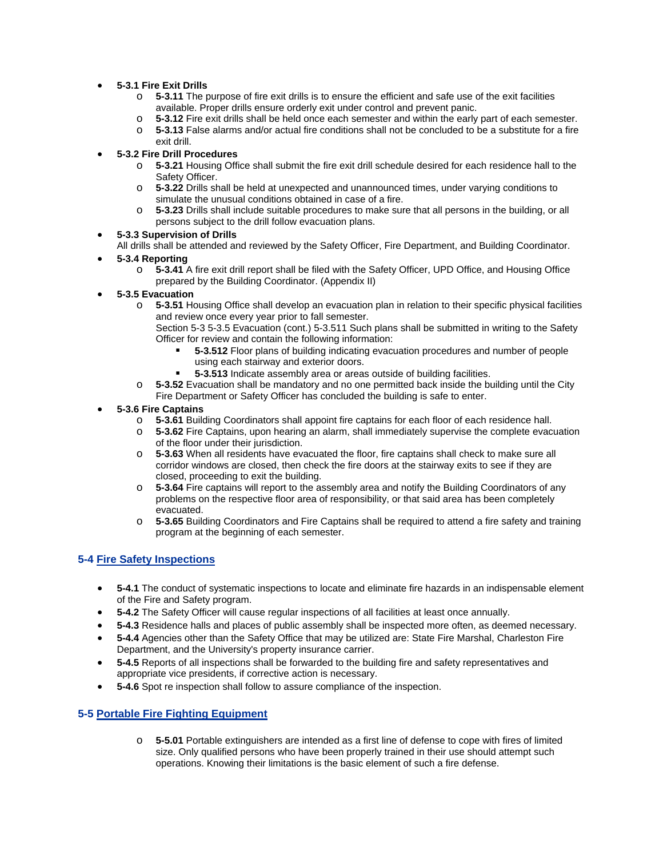- **5-3.1 Fire Exit Drills**
	- o **5-3.11** The purpose of fire exit drills is to ensure the efficient and safe use of the exit facilities available. Proper drills ensure orderly exit under control and prevent panic.
	- o **5-3.12** Fire exit drills shall be held once each semester and within the early part of each semester.
	- o **5-3.13** False alarms and/or actual fire conditions shall not be concluded to be a substitute for a fire exit drill.

#### **5-3.2 Fire Drill Procedures**

- o **5-3.21** Housing Office shall submit the fire exit drill schedule desired for each residence hall to the Safety Officer.
- o **5-3.22** Drills shall be held at unexpected and unannounced times, under varying conditions to simulate the unusual conditions obtained in case of a fire.
- o **5-3.23** Drills shall include suitable procedures to make sure that all persons in the building, or all persons subject to the drill follow evacuation plans.

#### **5-3.3 Supervision of Drills**

All drills shall be attended and reviewed by the Safety Officer, Fire Department, and Building Coordinator.

#### **5-3.4 Reporting**

- o **5-3.41** A fire exit drill report shall be filed with the Safety Officer, UPD Office, and Housing Office prepared by the Building Coordinator. (Appendix II)
- **5-3.5 Evacuation**
	- o **5-3.51** Housing Office shall develop an evacuation plan in relation to their specific physical facilities and review once every year prior to fall semester.
		- Section 5-3 5-3.5 Evacuation (cont.) 5-3.511 Such plans shall be submitted in writing to the Safety Officer for review and contain the following information:
			- **5-3.512** Floor plans of building indicating evacuation procedures and number of people using each stairway and exterior doors.
			- **5-3.513** Indicate assembly area or areas outside of building facilities.
	- o **5-3.52** Evacuation shall be mandatory and no one permitted back inside the building until the City Fire Department or Safety Officer has concluded the building is safe to enter.

#### **5-3.6 Fire Captains**

- o **5-3.61** Building Coordinators shall appoint fire captains for each floor of each residence hall.<br>○ 5-3.62 Fire Captains, upon hearing an alarm, shall immediately supervise the complete evaci
- **5-3.62** Fire Captains, upon hearing an alarm, shall immediately supervise the complete evacuation of the floor under their jurisdiction.
- o **5-3.63** When all residents have evacuated the floor, fire captains shall check to make sure all corridor windows are closed, then check the fire doors at the stairway exits to see if they are closed, proceeding to exit the building.
- o **5-3.64** Fire captains will report to the assembly area and notify the Building Coordinators of any problems on the respective floor area of responsibility, or that said area has been completely evacuated.
- o **5-3.65** Building Coordinators and Fire Captains shall be required to attend a fire safety and training program at the beginning of each semester.

#### **5-4 Fire Safety Inspections**

- **5-4.1** The conduct of systematic inspections to locate and eliminate fire hazards in an indispensable element of the Fire and Safety program.
- **5-4.2** The Safety Officer will cause regular inspections of all facilities at least once annually.
- **5-4.3** Residence halls and places of public assembly shall be inspected more often, as deemed necessary.
- **5-4.4** Agencies other than the Safety Office that may be utilized are: State Fire Marshal, Charleston Fire Department, and the University's property insurance carrier.
- **5-4.5** Reports of all inspections shall be forwarded to the building fire and safety representatives and appropriate vice presidents, if corrective action is necessary.
- **5-4.6** Spot re inspection shall follow to assure compliance of the inspection.

#### **5-5 Portable Fire Fighting Equipment**

o **5-5.01** Portable extinguishers are intended as a first line of defense to cope with fires of limited size. Only qualified persons who have been properly trained in their use should attempt such operations. Knowing their limitations is the basic element of such a fire defense.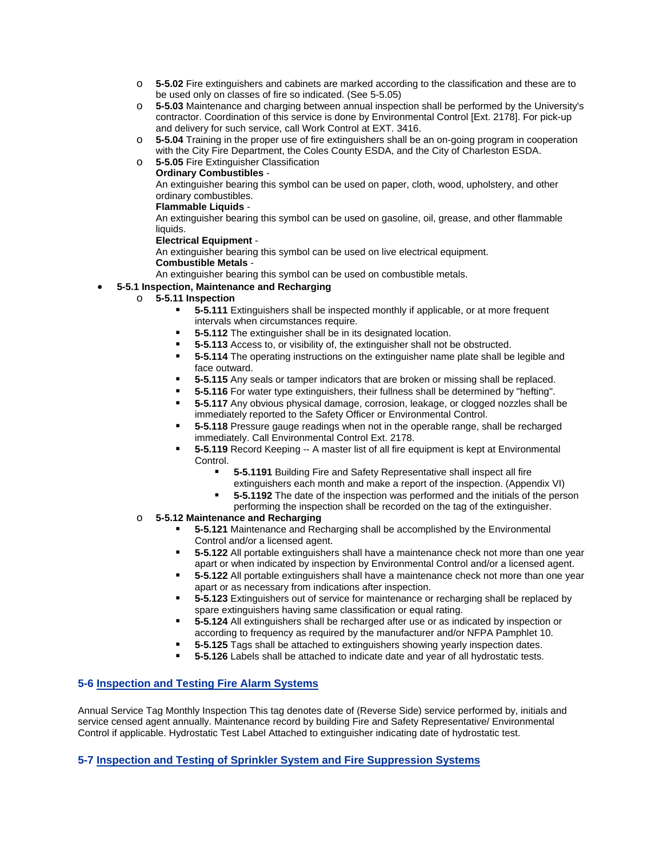- o **5-5.02** Fire extinguishers and cabinets are marked according to the classification and these are to be used only on classes of fire so indicated. (See 5-5.05)
- o **5-5.03** Maintenance and charging between annual inspection shall be performed by the University's contractor. Coordination of this service is done by Environmental Control [Ext. 2178]. For pick-up and delivery for such service, call Work Control at EXT. 3416.
- o **5-5.04** Training in the proper use of fire extinguishers shall be an on-going program in cooperation with the City Fire Department, the Coles County ESDA, and the City of Charleston ESDA.
- o **5-5.05** Fire Extinguisher Classification

**Ordinary Combustibles** -

An extinguisher bearing this symbol can be used on paper, cloth, wood, upholstery, and other ordinary combustibles.

#### **Flammable Liquids** -

An extinguisher bearing this symbol can be used on gasoline, oil, grease, and other flammable liquids.

#### **Electrical Equipment** -

An extinguisher bearing this symbol can be used on live electrical equipment.

## **Combustible Metals** -

An extinguisher bearing this symbol can be used on combustible metals.

# **5-5.1 Inspection, Maintenance and Recharging**

- o **5-5.11 Inspection**
	- **5-5.111** Extinguishers shall be inspected monthly if applicable, or at more frequent intervals when circumstances require.
	- **5-5.112** The extinguisher shall be in its designated location.
	- **5-5.113** Access to, or visibility of, the extinguisher shall not be obstructed.
	- **5-5.114** The operating instructions on the extinguisher name plate shall be legible and face outward.
	- **5-5.115** Any seals or tamper indicators that are broken or missing shall be replaced.
	- **5-5.116** For water type extinguishers, their fullness shall be determined by "hefting".
	- **5-5.117** Any obvious physical damage, corrosion, leakage, or clogged nozzles shall be immediately reported to the Safety Officer or Environmental Control.
	- **5-5.118** Pressure gauge readings when not in the operable range, shall be recharged immediately. Call Environmental Control Ext. 2178.
	- **5-5.119** Record Keeping -- A master list of all fire equipment is kept at Environmental Control.
		- **5-5.1191** Building Fire and Safety Representative shall inspect all fire extinguishers each month and make a report of the inspection. (Appendix VI)
		- **5-5.1192** The date of the inspection was performed and the initials of the person
		- performing the inspection shall be recorded on the tag of the extinguisher.
- o **5-5.12 Maintenance and Recharging**
	- **5-5.121** Maintenance and Recharging shall be accomplished by the Environmental Control and/or a licensed agent.
	- **5-5.122** All portable extinguishers shall have a maintenance check not more than one year apart or when indicated by inspection by Environmental Control and/or a licensed agent.
	- **5-5.122** All portable extinguishers shall have a maintenance check not more than one year apart or as necessary from indications after inspection.
	- **5-5.123** Extinguishers out of service for maintenance or recharging shall be replaced by spare extinguishers having same classification or equal rating.
	- **5-5.124** All extinguishers shall be recharged after use or as indicated by inspection or according to frequency as required by the manufacturer and/or NFPA Pamphlet 10.
	- **5-5.125** Tags shall be attached to extinguishers showing yearly inspection dates.
	- **5-5.126** Labels shall be attached to indicate date and year of all hydrostatic tests.

#### **5-6 Inspection and Testing Fire Alarm Systems**

Annual Service Tag Monthly Inspection This tag denotes date of (Reverse Side) service performed by, initials and service censed agent annually. Maintenance record by building Fire and Safety Representative/ Environmental Control if applicable. Hydrostatic Test Label Attached to extinguisher indicating date of hydrostatic test.

#### **5-7 Inspection and Testing of Sprinkler System and Fire Suppression Systems**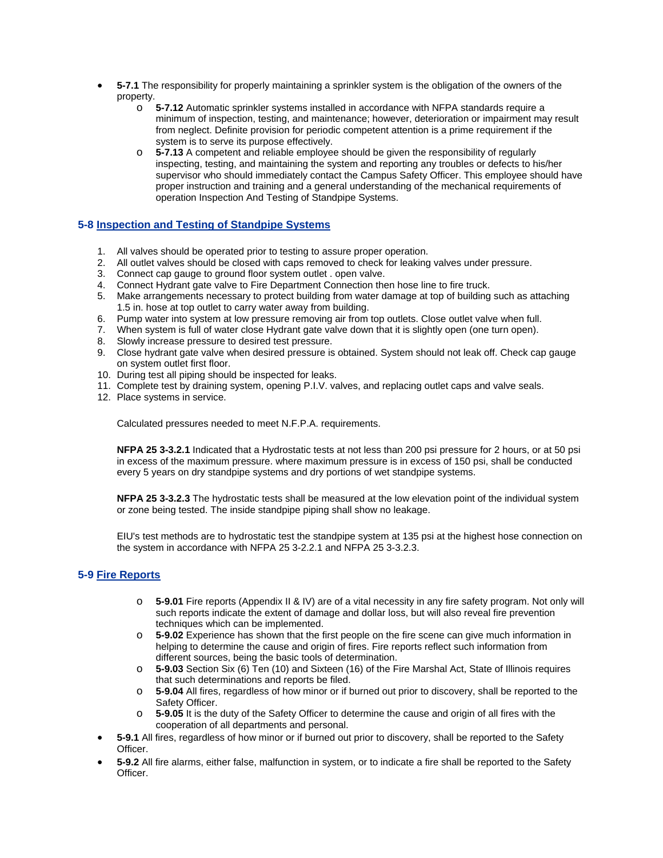- **5-7.1** The responsibility for properly maintaining a sprinkler system is the obligation of the owners of the property.
	- o **5-7.12** Automatic sprinkler systems installed in accordance with NFPA standards require a minimum of inspection, testing, and maintenance; however, deterioration or impairment may result from neglect. Definite provision for periodic competent attention is a prime requirement if the system is to serve its purpose effectively.
	- o **5-7.13** A competent and reliable employee should be given the responsibility of regularly inspecting, testing, and maintaining the system and reporting any troubles or defects to his/her supervisor who should immediately contact the Campus Safety Officer. This employee should have proper instruction and training and a general understanding of the mechanical requirements of operation Inspection And Testing of Standpipe Systems.

#### **5-8 Inspection and Testing of Standpipe Systems**

- 1. All valves should be operated prior to testing to assure proper operation.
- 2. All outlet valves should be closed with caps removed to check for leaking valves under pressure.
- 3. Connect cap gauge to ground floor system outlet . open valve.
- 4. Connect Hydrant gate valve to Fire Department Connection then hose line to fire truck.
- 5. Make arrangements necessary to protect building from water damage at top of building such as attaching 1.5 in. hose at top outlet to carry water away from building.
- 6. Pump water into system at low pressure removing air from top outlets. Close outlet valve when full.
- 7. When system is full of water close Hydrant gate valve down that it is slightly open (one turn open).
- 8. Slowly increase pressure to desired test pressure.
- 9. Close hydrant gate valve when desired pressure is obtained. System should not leak off. Check cap gauge on system outlet first floor.
- 10. During test all piping should be inspected for leaks.
- 11. Complete test by draining system, opening P.I.V. valves, and replacing outlet caps and valve seals.
- 12. Place systems in service.

Calculated pressures needed to meet N.F.P.A. requirements.

**NFPA 25 3-3.2.1** Indicated that a Hydrostatic tests at not less than 200 psi pressure for 2 hours, or at 50 psi in excess of the maximum pressure. where maximum pressure is in excess of 150 psi, shall be conducted every 5 years on dry standpipe systems and dry portions of wet standpipe systems.

**NFPA 25 3-3.2.3** The hydrostatic tests shall be measured at the low elevation point of the individual system or zone being tested. The inside standpipe piping shall show no leakage.

EIU's test methods are to hydrostatic test the standpipe system at 135 psi at the highest hose connection on the system in accordance with NFPA 25 3-2.2.1 and NFPA 25 3-3.2.3.

# **5-9 Fire Reports**

- o **5-9.01** Fire reports (Appendix II & IV) are of a vital necessity in any fire safety program. Not only will such reports indicate the extent of damage and dollar loss, but will also reveal fire prevention techniques which can be implemented.
- o **5-9.02** Experience has shown that the first people on the fire scene can give much information in helping to determine the cause and origin of fires. Fire reports reflect such information from different sources, being the basic tools of determination.
- o **5-9.03** Section Six (6) Ten (10) and Sixteen (16) of the Fire Marshal Act, State of Illinois requires that such determinations and reports be filed.
- o **5-9.04** All fires, regardless of how minor or if burned out prior to discovery, shall be reported to the Safety Officer.
- o **5-9.05** It is the duty of the Safety Officer to determine the cause and origin of all fires with the cooperation of all departments and personal.
- **5-9.1** All fires, regardless of how minor or if burned out prior to discovery, shall be reported to the Safety Officer.
- **5-9.2** All fire alarms, either false, malfunction in system, or to indicate a fire shall be reported to the Safety Officer.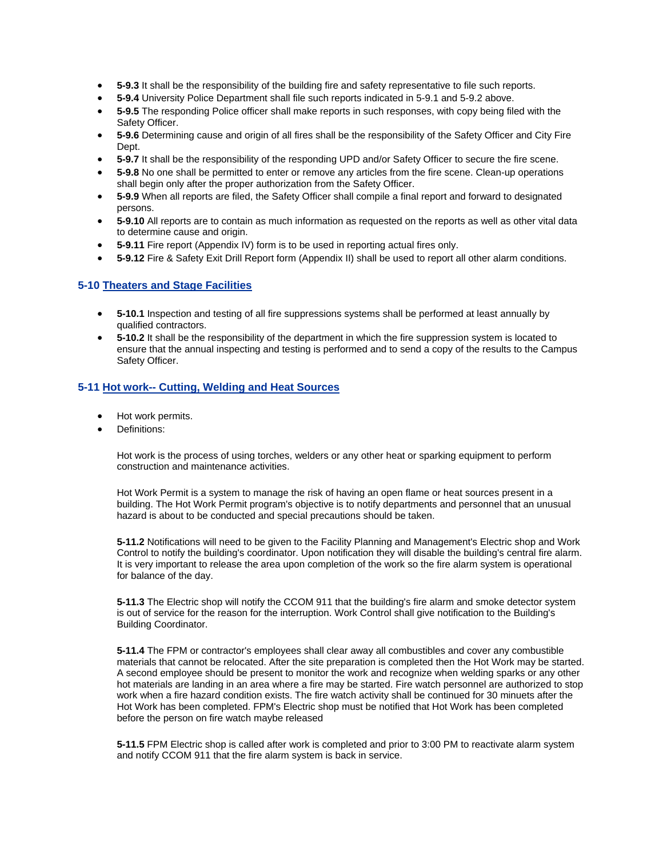- **5-9.3** It shall be the responsibility of the building fire and safety representative to file such reports.
- **5-9.4** University Police Department shall file such reports indicated in 5-9.1 and 5-9.2 above.
- **5-9.5** The responding Police officer shall make reports in such responses, with copy being filed with the Safety Officer.
- **5-9.6** Determining cause and origin of all fires shall be the responsibility of the Safety Officer and City Fire Dept.
- **5-9.7** It shall be the responsibility of the responding UPD and/or Safety Officer to secure the fire scene.
- **5-9.8** No one shall be permitted to enter or remove any articles from the fire scene. Clean-up operations shall begin only after the proper authorization from the Safety Officer.
- **5-9.9** When all reports are filed, the Safety Officer shall compile a final report and forward to designated persons.
- **5-9.10** All reports are to contain as much information as requested on the reports as well as other vital data to determine cause and origin.
- **5-9.11** Fire report (Appendix IV) form is to be used in reporting actual fires only.
- **5-9.12** Fire & Safety Exit Drill Report form (Appendix II) shall be used to report all other alarm conditions.

#### **5-10 Theaters and Stage Facilities**

- **5-10.1** Inspection and testing of all fire suppressions systems shall be performed at least annually by qualified contractors.
- **5-10.2** It shall be the responsibility of the department in which the fire suppression system is located to ensure that the annual inspecting and testing is performed and to send a copy of the results to the Campus Safety Officer.

## **5-11 Hot work-- Cutting, Welding and Heat Sources**

- Hot work permits.
- Definitions:

Hot work is the process of using torches, welders or any other heat or sparking equipment to perform construction and maintenance activities.

Hot Work Permit is a system to manage the risk of having an open flame or heat sources present in a building. The Hot Work Permit program's objective is to notify departments and personnel that an unusual hazard is about to be conducted and special precautions should be taken.

**5-11.2** Notifications will need to be given to the Facility Planning and Management's Electric shop and Work Control to notify the building's coordinator. Upon notification they will disable the building's central fire alarm. It is very important to release the area upon completion of the work so the fire alarm system is operational for balance of the day.

**5-11.3** The Electric shop will notify the CCOM 911 that the building's fire alarm and smoke detector system is out of service for the reason for the interruption. Work Control shall give notification to the Building's Building Coordinator.

**5-11.4** The FPM or contractor's employees shall clear away all combustibles and cover any combustible materials that cannot be relocated. After the site preparation is completed then the Hot Work may be started. A second employee should be present to monitor the work and recognize when welding sparks or any other hot materials are landing in an area where a fire may be started. Fire watch personnel are authorized to stop work when a fire hazard condition exists. The fire watch activity shall be continued for 30 minuets after the Hot Work has been completed. FPM's Electric shop must be notified that Hot Work has been completed before the person on fire watch maybe released

**5-11.5** FPM Electric shop is called after work is completed and prior to 3:00 PM to reactivate alarm system and notify CCOM 911 that the fire alarm system is back in service.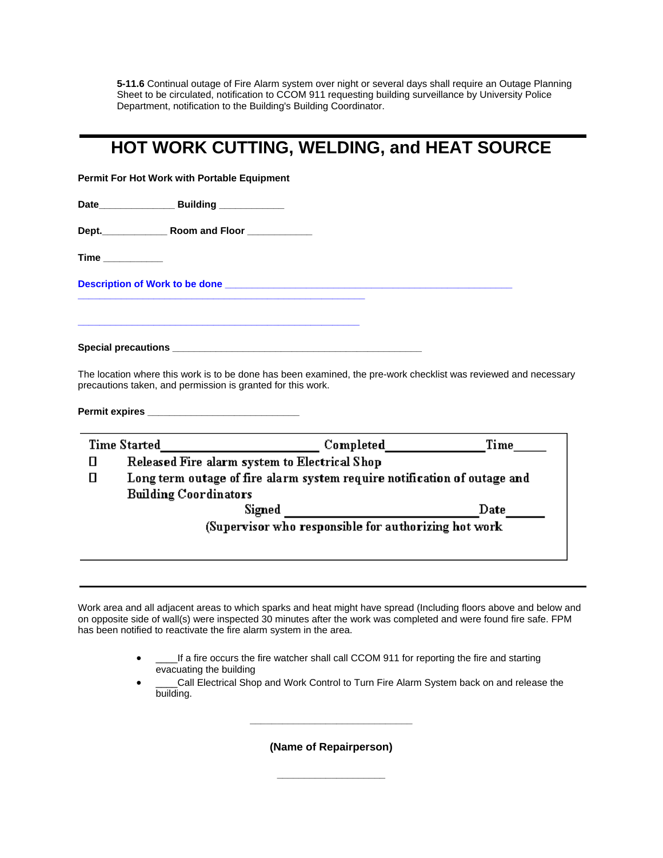**5-11.6** Continual outage of Fire Alarm system over night or several days shall require an Outage Planning Sheet to be circulated, notification to CCOM 911 requesting building surveillance by University Police Department, notification to the Building's Building Coordinator.

# **HOT WORK CUTTING, WELDING, and HEAT SOURCE**

**Permit For Hot Work with Portable Equipment**

**Date\_\_\_\_\_\_\_\_\_\_\_\_\_\_ Building \_\_\_\_\_\_\_\_\_\_\_\_**

**Dept.\_\_\_\_\_\_\_\_\_\_\_\_ Room and Floor \_\_\_\_\_\_\_\_\_\_\_\_**

**Time \_\_\_\_\_\_\_\_\_\_\_** 

**Description of Work to be done \_\_\_\_\_\_\_\_\_\_\_\_\_\_\_\_\_\_\_\_\_\_\_\_\_\_\_\_\_\_\_\_\_\_\_\_\_\_\_\_\_\_\_\_\_\_\_\_\_\_\_\_\_** 

Special precautions **with a set of the set of the set of the set of the set of the set of the set of the set of the set of the set of the set of the set of the set of the set of the set of the set of the set of the set of** 

**\_\_\_\_\_\_\_\_\_\_\_\_\_\_\_\_\_\_\_\_\_\_\_\_\_\_\_\_\_\_\_\_\_\_\_\_\_\_\_\_\_\_\_\_\_\_\_\_\_\_\_\_\_** 

**\_\_\_\_\_\_\_\_\_\_\_\_\_\_\_\_\_\_\_\_\_\_\_\_\_\_\_\_\_\_\_\_\_\_\_\_\_\_\_\_\_\_\_\_\_\_\_\_\_\_\_\_** 

The location where this work is to be done has been examined, the pre-work checklist was reviewed and necessary precautions taken, and permission is granted for this work.

**Permit expires \_\_\_\_\_\_\_\_\_\_\_\_\_\_\_\_\_\_\_\_\_\_\_\_\_\_\_\_** 

| <b>Time Started</b>                                  |                                                                          | Completed | Time |
|------------------------------------------------------|--------------------------------------------------------------------------|-----------|------|
|                                                      | Released Fire alarm system to Electrical Shop                            |           |      |
|                                                      | Long term outage of fire alarm system require notification of outage and |           |      |
|                                                      | <b>Building Coordinators</b>                                             |           |      |
|                                                      | Signed                                                                   |           | Date |
| (Supervisor who responsible for authorizing hot work |                                                                          |           |      |
|                                                      |                                                                          |           |      |
|                                                      |                                                                          |           |      |

Work area and all adjacent areas to which sparks and heat might have spread (Including floors above and below and on opposite side of wall(s) were inspected 30 minutes after the work was completed and were found fire safe. FPM has been notified to reactivate the fire alarm system in the area.

- \_\_\_\_If a fire occurs the fire watcher shall call CCOM 911 for reporting the fire and starting evacuating the building
- \_\_\_\_Call Electrical Shop and Work Control to Turn Fire Alarm System back on and release the building.

**(Name of Repairperson)** 

**\_\_\_\_\_\_\_\_\_\_\_\_\_\_\_\_\_\_\_\_** 

**\_\_\_\_\_\_\_\_\_\_\_\_\_\_\_\_\_\_\_\_\_\_\_\_\_\_\_\_\_\_**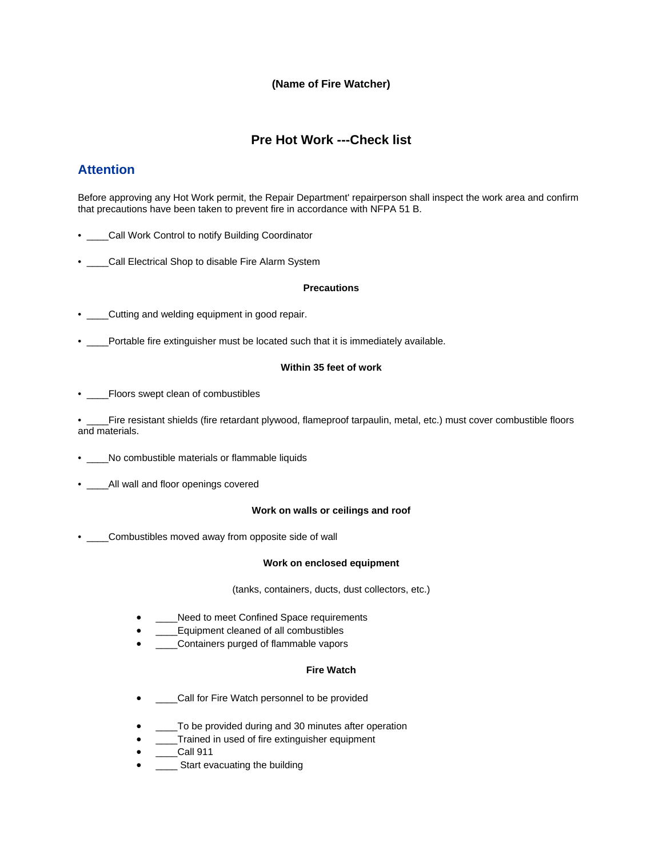# **(Name of Fire Watcher)**

# **Pre Hot Work ---Check list**

# **Attention**

Before approving any Hot Work permit, the Repair Department' repairperson shall inspect the work area and confirm that precautions have been taken to prevent fire in accordance with NFPA 51 B.

- \_\_\_\_Call Work Control to notify Building Coordinator
- \_\_\_\_Call Electrical Shop to disable Fire Alarm System

#### **Precautions**

- \_\_\_\_Cutting and welding equipment in good repair.
- Portable fire extinguisher must be located such that it is immediately available.

#### **Within 35 feet of work**

• \_\_\_\_Floors swept clean of combustibles

• Fire resistant shields (fire retardant plywood, flameproof tarpaulin, metal, etc.) must cover combustible floors and materials.

- \_\_\_\_No combustible materials or flammable liquids
- \_\_\_\_All wall and floor openings covered

#### **Work on walls or ceilings and roof**

• \_\_\_\_Combustibles moved away from opposite side of wall

#### **Work on enclosed equipment**

(tanks, containers, ducts, dust collectors, etc.)

- Need to meet Confined Space requirements
- \_\_\_\_Equipment cleaned of all combustibles
- \_\_\_\_Containers purged of flammable vapors

#### **Fire Watch**

- \_\_\_\_Call for Fire Watch personnel to be provided
- \_\_\_\_To be provided during and 30 minutes after operation
- **\_\_\_\_Trained in used of fire extinguisher equipment**
- \_\_\_\_Call 911
- \_\_\_\_\_ Start evacuating the building